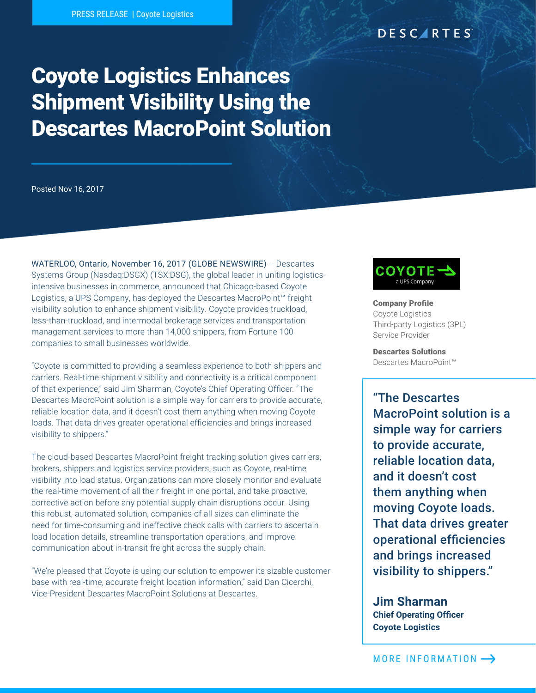## DESCARTES

# Coyote Logistics Enhances Shipment Visibility Using the Descartes MacroPoint Solution

Posted Nov 16, 2017

WATERLOO, Ontario, November 16, 2017 (GLOBE NEWSWIRE) -- Descartes Systems Group (Nasdaq:DSGX) (TSX:DSG), the global leader in uniting logisticsintensive businesses in commerce, announced that Chicago-based Coyote Logistics, a UPS Company, has deployed the Descartes MacroPoint™ freight visibility solution to enhance shipment visibility. Coyote provides truckload, less-than-truckload, and intermodal brokerage services and transportation management services to more than 14,000 shippers, from Fortune 100 companies to small businesses worldwide.

"Coyote is committed to providing a seamless experience to both shippers and carriers. Real-time shipment visibility and connectivity is a critical component of that experience," said Jim Sharman, Coyote's Chief Operating Officer. "The Descartes MacroPoint solution is a simple way for carriers to provide accurate, reliable location data, and it doesn't cost them anything when moving Coyote loads. That data drives greater operational efficiencies and brings increased visibility to shippers."

The cloud-based Descartes MacroPoint freight tracking solution gives carriers, brokers, shippers and logistics service providers, such as Coyote, real-time visibility into load status. Organizations can more closely monitor and evaluate the real-time movement of all their freight in one portal, and take proactive, corrective action before any potential supply chain disruptions occur. Using this robust, automated solution, companies of all sizes can eliminate the need for time-consuming and ineffective check calls with carriers to ascertain load location details, streamline transportation operations, and improve communication about in-transit freight across the supply chain.

"We're pleased that Coyote is using our solution to empower its sizable customer base with real-time, accurate freight location information," said Dan Cicerchi, Vice-President Descartes MacroPoint Solutions at Descartes.



Company Profile Coyote Logistics Third-party Logistics (3PL) Service Provider

Descartes Solutions Descartes MacroPoint™

"The Descartes MacroPoint solution is a simple way for carriers to provide accurate, reliable location data, and it doesn't cost them anything when moving Coyote loads. That data drives greater operational efficiencies and brings increased visibility to shippers."

**Jim Sharman Chief Operating Officer Coyote Logistics**